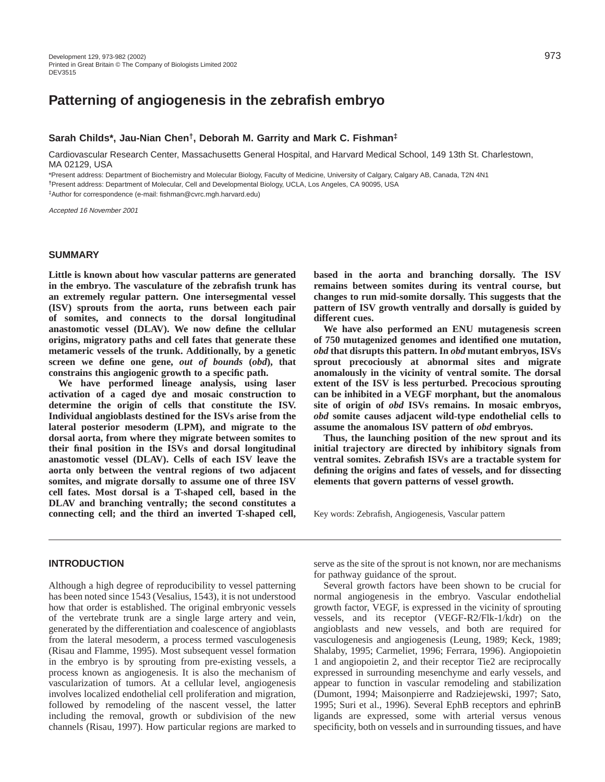# **Patterning of angiogenesis in the zebrafish embryo**

# **Sarah Childs\*, Jau-Nian Chen†, Deborah M. Garrity and Mark C. Fishman‡**

Cardiovascular Research Center, Massachusetts General Hospital, and Harvard Medical School, 149 13th St. Charlestown, MA 02129, USA

\*Present address: Department of Biochemistry and Molecular Biology, Faculty of Medicine, University of Calgary, Calgary AB, Canada, T2N 4N1

**†**Present address: Department of Molecular, Cell and Developmental Biology, UCLA, Los Angeles, CA 90095, USA

‡Author for correspondence (e-mail: fishman@cvrc.mgh.harvard.edu)

Accepted 16 November 2001

# **SUMMARY**

**Little is known about how vascular patterns are generated in the embryo. The vasculature of the zebrafish trunk has an extremely regular pattern. One intersegmental vessel (ISV) sprouts from the aorta, runs between each pair of somites, and connects to the dorsal longitudinal anastomotic vessel (DLAV). We now define the cellular origins, migratory paths and cell fates that generate these metameric vessels of the trunk. Additionally, by a genetic screen we define one gene,** *out of bounds* **(***obd***), that constrains this angiogenic growth to a specific path.** 

**We have performed lineage analysis, using laser activation of a caged dye and mosaic construction to determine the origin of cells that constitute the ISV. Individual angioblasts destined for the ISVs arise from the lateral posterior mesoderm (LPM), and migrate to the dorsal aorta, from where they migrate between somites to their final position in the ISVs and dorsal longitudinal anastomotic vessel (DLAV). Cells of each ISV leave the aorta only between the ventral regions of two adjacent somites, and migrate dorsally to assume one of three ISV cell fates. Most dorsal is a T-shaped cell, based in the DLAV and branching ventrally; the second constitutes a connecting cell; and the third an inverted T-shaped cell,** **based in the aorta and branching dorsally. The ISV remains between somites during its ventral course, but changes to run mid-somite dorsally. This suggests that the pattern of ISV growth ventrally and dorsally is guided by different cues.** 

**We have also performed an ENU mutagenesis screen of 750 mutagenized genomes and identified one mutation,** *obd* **that disrupts this pattern. In** *obd* **mutant embryos, ISVs sprout precociously at abnormal sites and migrate anomalously in the vicinity of ventral somite. The dorsal extent of the ISV is less perturbed. Precocious sprouting can be inhibited in a VEGF morphant, but the anomalous site of origin of** *obd* **ISVs remains. In mosaic embryos,** *obd* **somite causes adjacent wild-type endothelial cells to assume the anomalous ISV pattern of** *obd* **embryos.** 

**Thus, the launching position of the new sprout and its initial trajectory are directed by inhibitory signals from ventral somites. Zebrafish ISVs are a tractable system for defining the origins and fates of vessels, and for dissecting elements that govern patterns of vessel growth.**

Key words: Zebrafish, Angiogenesis, Vascular pattern

# **INTRODUCTION**

Although a high degree of reproducibility to vessel patterning has been noted since 1543 (Vesalius, 1543), it is not understood how that order is established. The original embryonic vessels of the vertebrate trunk are a single large artery and vein, generated by the differentiation and coalescence of angioblasts from the lateral mesoderm, a process termed vasculogenesis (Risau and Flamme, 1995). Most subsequent vessel formation in the embryo is by sprouting from pre-existing vessels, a process known as angiogenesis. It is also the mechanism of vascularization of tumors. At a cellular level, angiogenesis involves localized endothelial cell proliferation and migration, followed by remodeling of the nascent vessel, the latter including the removal, growth or subdivision of the new channels (Risau, 1997). How particular regions are marked to

serve as the site of the sprout is not known, nor are mechanisms for pathway guidance of the sprout.

Several growth factors have been shown to be crucial for normal angiogenesis in the embryo. Vascular endothelial growth factor, VEGF, is expressed in the vicinity of sprouting vessels, and its receptor (VEGF-R2/Flk-1/kdr) on the angioblasts and new vessels, and both are required for vasculogenesis and angiogenesis (Leung, 1989; Keck, 1989; Shalaby, 1995; Carmeliet, 1996; Ferrara, 1996). Angiopoietin 1 and angiopoietin 2, and their receptor Tie2 are reciprocally expressed in surrounding mesenchyme and early vessels, and appear to function in vascular remodeling and stabilization (Dumont, 1994; Maisonpierre and Radziejewski, 1997; Sato, 1995; Suri et al., 1996). Several EphB receptors and ephrinB ligands are expressed, some with arterial versus venous specificity, both on vessels and in surrounding tissues, and have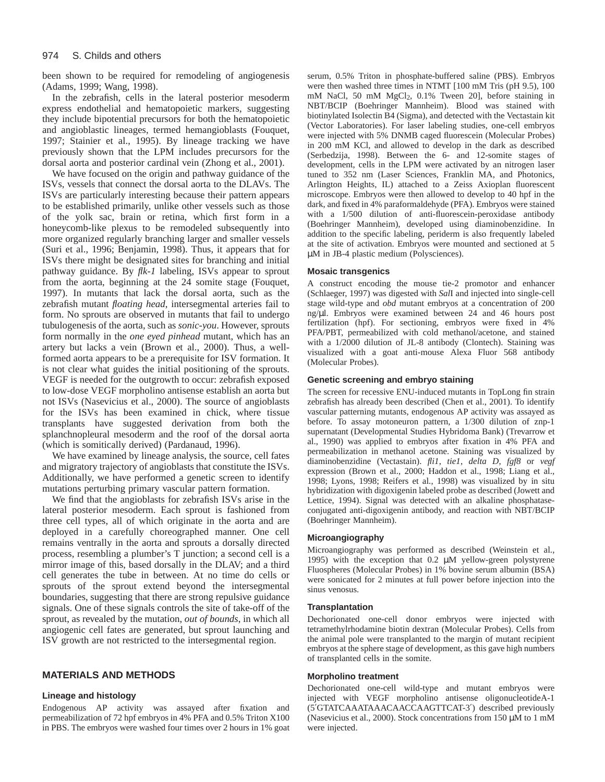#### 974 S. Childs and others

been shown to be required for remodeling of angiogenesis (Adams, 1999; Wang, 1998).

In the zebrafish, cells in the lateral posterior mesoderm express endothelial and hematopoietic markers, suggesting they include bipotential precursors for both the hematopoietic and angioblastic lineages, termed hemangioblasts (Fouquet, 1997; Stainier et al., 1995). By lineage tracking we have previously shown that the LPM includes precursors for the dorsal aorta and posterior cardinal vein (Zhong et al., 2001).

We have focused on the origin and pathway guidance of the ISVs, vessels that connect the dorsal aorta to the DLAVs. The ISVs are particularly interesting because their pattern appears to be established primarily, unlike other vessels such as those of the yolk sac, brain or retina, which first form in a honeycomb-like plexus to be remodeled subsequently into more organized regularly branching larger and smaller vessels (Suri et al., 1996; Benjamin, 1998). Thus, it appears that for ISVs there might be designated sites for branching and initial pathway guidance. By *flk-1* labeling, ISVs appear to sprout from the aorta, beginning at the 24 somite stage (Fouquet, 1997). In mutants that lack the dorsal aorta, such as the zebrafish mutant *floating head*, intersegmental arteries fail to form. No sprouts are observed in mutants that fail to undergo tubulogenesis of the aorta, such as *sonic-you*. However, sprouts form normally in the *one eyed pinhead* mutant, which has an artery but lacks a vein (Brown et al., 2000). Thus, a wellformed aorta appears to be a prerequisite for ISV formation. It is not clear what guides the initial positioning of the sprouts. VEGF is needed for the outgrowth to occur: zebrafish exposed to low-dose VEGF morpholino antisense establish an aorta but not ISVs (Nasevicius et al., 2000). The source of angioblasts for the ISVs has been examined in chick, where tissue transplants have suggested derivation from both the splanchnopleural mesoderm and the roof of the dorsal aorta (which is somitically derived) (Pardanaud, 1996).

We have examined by lineage analysis, the source, cell fates and migratory trajectory of angioblasts that constitute the ISVs. Additionally, we have performed a genetic screen to identify mutations perturbing primary vascular pattern formation.

We find that the angioblasts for zebrafish ISVs arise in the lateral posterior mesoderm. Each sprout is fashioned from three cell types, all of which originate in the aorta and are deployed in a carefully choreographed manner. One cell remains ventrally in the aorta and sprouts a dorsally directed process, resembling a plumber's T junction; a second cell is a mirror image of this, based dorsally in the DLAV; and a third cell generates the tube in between. At no time do cells or sprouts of the sprout extend beyond the intersegmental boundaries, suggesting that there are strong repulsive guidance signals. One of these signals controls the site of take-off of the sprout, as revealed by the mutation, *out of bounds*, in which all angiogenic cell fates are generated, but sprout launching and ISV growth are not restricted to the intersegmental region.

### **MATERIALS AND METHODS**

### **Lineage and histology**

Endogenous AP activity was assayed after fixation and permeabilization of 72 hpf embryos in 4% PFA and 0.5% Triton X100 in PBS. The embryos were washed four times over 2 hours in 1% goat

serum, 0.5% Triton in phosphate-buffered saline (PBS). Embryos were then washed three times in NTMT [100 mM Tris (pH 9.5), 100 mM NaCl, 50 mM MgCl2, 0.1% Tween 20], before staining in NBT/BCIP (Boehringer Mannheim). Blood was stained with biotinylated Isolectin B4 (Sigma), and detected with the Vectastain kit (Vector Laboratories). For laser labeling studies, one-cell embryos were injected with 5% DNMB caged fluorescein (Molecular Probes) in 200 mM KCl, and allowed to develop in the dark as described (Serbedzija, 1998). Between the 6- and 12-somite stages of development, cells in the LPM were activated by an nitrogen laser tuned to 352 nm (Laser Sciences, Franklin MA, and Photonics, Arlington Heights, IL) attached to a Zeiss Axioplan fluorescent microscope. Embryos were then allowed to develop to 40 hpf in the dark, and fixed in 4% paraformaldehyde (PFA). Embryos were stained with a 1/500 dilution of anti-fluorescein-peroxidase antibody (Boehringer Mannheim), developed using diaminobenzidine. In addition to the specific labeling, periderm is also frequently labeled at the site of activation. Embryos were mounted and sectioned at 5 µM in JB-4 plastic medium (Polysciences).

# **Mosaic transgenics**

A construct encoding the mouse tie-2 promotor and enhancer (Schlaeger, 1997) was digested with *Sal*I and injected into single-cell stage wild-type and *obd* mutant embryos at a concentration of 200 ng/µl. Embryos were examined between 24 and 46 hours post fertilization (hpf). For sectioning, embryos were fixed in 4% PFA/PBT, permeabilized with cold methanol/acetone, and stained with a 1/2000 dilution of JL-8 antibody (Clontech). Staining was visualized with a goat anti-mouse Alexa Fluor 568 antibody (Molecular Probes).

# **Genetic screening and embryo staining**

The screen for recessive ENU-induced mutants in TopLong fin strain zebrafish has already been described (Chen et al., 2001). To identify vascular patterning mutants, endogenous AP activity was assayed as before. To assay motoneuron pattern, a 1/300 dilution of znp-1 supernatant (Developmental Studies Hybridoma Bank) (Trevarrow et al., 1990) was applied to embryos after fixation in 4% PFA and permeabilization in methanol acetone. Staining was visualized by diaminobenzidine (Vectastain). *fli1*, *tie1*, *delta D*, *fgf8* or *vegf* expression (Brown et al., 2000; Haddon et al., 1998; Liang et al., 1998; Lyons, 1998; Reifers et al., 1998) was visualized by in situ hybridization with digoxigenin labeled probe as described (Jowett and Lettice, 1994). Signal was detected with an alkaline phosphataseconjugated anti-digoxigenin antibody, and reaction with NBT/BCIP (Boehringer Mannheim).

### **Microangiography**

Microangiography was performed as described (Weinstein et al., 1995) with the exception that 0.2 µM yellow-green polystyrene Fluospheres (Molecular Probes) in 1% bovine serum albumin (BSA) were sonicated for 2 minutes at full power before injection into the sinus venosus.

### **Transplantation**

Dechorionated one-cell donor embryos were injected with tetramethylrhodamine biotin dextran (Molecular Probes). Cells from the animal pole were transplanted to the margin of mutant recipient embryos at the sphere stage of development, as this gave high numbers of transplanted cells in the somite.

### **Morpholino treatment**

Dechorionated one-cell wild-type and mutant embryos were injected with VEGF morpholino antisense oligonucleotideA-1 (5′GTATCAAATAAACAACCAAGTTCAT-3′) described previously (Nasevicius et al., 2000). Stock concentrations from 150 µM to 1 mM were injected.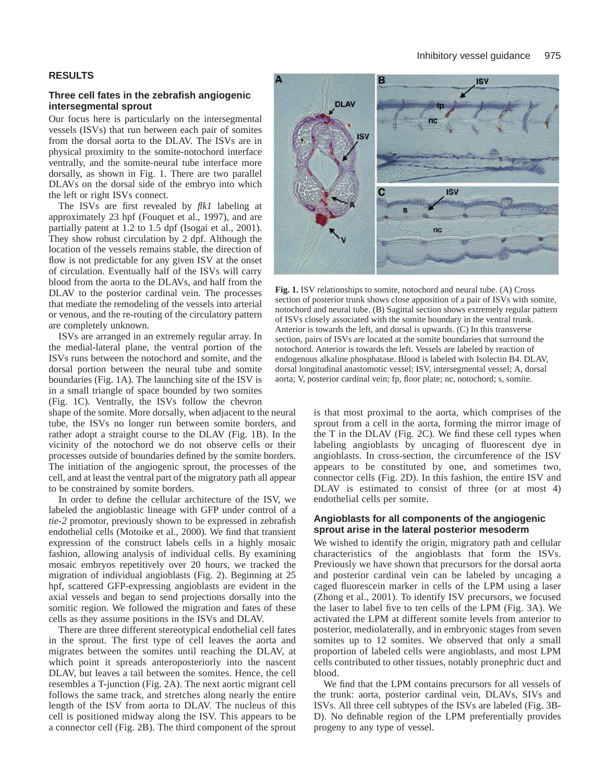# **Three cell fates in the zebrafish angiogenic intersegmental sprout**

Our focus here is particularly on the intersegmental vessels (ISVs) that run between each pair of somites from the dorsal aorta to the DLAV. The ISVs are in physical proximity to the somite-notochord interface ventrally, and the somite-neural tube interface more dorsally, as shown in Fig. 1. There are two parallel DLAVs on the dorsal side of the embryo into which the left or right ISVs connect.

The ISVs are first revealed by *flk1* labeling at approximately 23 hpf (Fouquet et al., 1997), and are partially patent at 1.2 to 1.5 dpf (Isogai et al., 2001). They show robust circulation by 2 dpf. Although the location of the vessels remains stable, the direction of flow is not predictable for any given ISV at the onset of circulation. Eventually half of the ISVs will carry blood from the aorta to the DLAVs, and half from the DLAV to the posterior cardinal vein. The processes that mediate the remodeling of the vessels into arterial or venous, and the re-routing of the circulatory pattern are completely unknown.

ISVs are arranged in an extremely regular array. In the medial-lateral plane, the ventral portion of the ISVs runs between the notochord and somite, and the dorsal portion between the neural tube and somite boundaries (Fig. 1A). The launching site of the ISV is in a small triangle of space bounded by two somites (Fig. 1C). Ventrally, the ISVs follow the chevron

shape of the somite. More dorsally, when adjacent to the neural tube, the ISVs no longer run between somite borders, and rather adopt a straight course to the DLAV (Fig. 1B). In the vicinity of the notochord we do not observe cells or their processes outside of boundaries defined by the somite borders. The initiation of the angiogenic sprout, the processes of the cell, and at least the ventral part of the migratory path all appear to be constrained by somite borders.

In order to define the cellular architecture of the ISV, we labeled the angioblastic lineage with GFP under control of a *tie-2* promotor, previously shown to be expressed in zebrafish endothelial cells (Motoike et al., 2000). We find that transient expression of the construct labels cells in a highly mosaic fashion, allowing analysis of individual cells. By examining mosaic embryos repetitively over 20 hours, we tracked the migration of individual angioblasts (Fig. 2). Beginning at 25 hpf, scattered GFP-expressing angioblasts are evident in the axial vessels and began to send projections dorsally into the somitic region. We followed the migration and fates of these cells as they assume positions in the ISVs and DLAV.

There are three different stereotypical endothelial cell fates in the sprout. The first type of cell leaves the aorta and migrates between the somites until reaching the DLAV, at which point it spreads anteroposteriorly into the nascent DLAV, but leaves a tail between the somites. Hence, the cell resembles a T-junction (Fig. 2A). The next aortic migrant cell follows the same track, and stretches along nearly the entire length of the ISV from aorta to DLAV. The nucleus of this cell is positioned midway along the ISV. This appears to be a connector cell (Fig. 2B). The third component of the sprout



**Fig. 1.** ISV relationships to somite, notochord and neural tube. (A) Cross section of posterior trunk shows close apposition of a pair of ISVs with somite, notochord and neural tube. (B) Sagittal section shows extremely regular pattern of ISVs closely associated with the somite boundary in the ventral trunk. Anterior is towards the left, and dorsal is upwards. (C) In this transverse section, pairs of ISVs are located at the somite boundaries that surround the notochord. Anterior is towards the left. Vessels are labeled by reaction of endogenous alkaline phosphatase. Blood is labeled with Isolectin B4. DLAV, dorsal longitudinal anastomotic vessel; ISV, intersegmental vessel; A, dorsal aorta; V, posterior cardinal vein; fp, floor plate; nc, notochord; s, somite.

is that most proximal to the aorta, which comprises of the sprout from a cell in the aorta, forming the mirror image of the T in the DLAV (Fig. 2C). We find these cell types when labeling angioblasts by uncaging of fluorescent dye in angioblasts. In cross-section, the circumference of the ISV appears to be constituted by one, and sometimes two, connector cells (Fig. 2D). In this fashion, the entire ISV and DLAV is estimated to consist of three (or at most 4) endothelial cells per somite.

# **Angioblasts for all components of the angiogenic sprout arise in the lateral posterior mesoderm**

We wished to identify the origin, migratory path and cellular characteristics of the angioblasts that form the ISVs. Previously we have shown that precursors for the dorsal aorta and posterior cardinal vein can be labeled by uncaging a caged fluorescein marker in cells of the LPM using a laser (Zhong et al., 2001). To identify ISV precursors, we focused the laser to label five to ten cells of the LPM (Fig. 3A). We activated the LPM at different somite levels from anterior to posterior, mediolaterally, and in embryonic stages from seven somites up to 12 somites. We observed that only a small proportion of labeled cells were angioblasts, and most LPM cells contributed to other tissues, notably pronephric duct and blood.

We find that the LPM contains precursors for all vessels of the trunk: aorta, posterior cardinal vein, DLAVs, SIVs and ISVs. All three cell subtypes of the ISVs are labeled (Fig. 3B-D). No definable region of the LPM preferentially provides progeny to any type of vessel.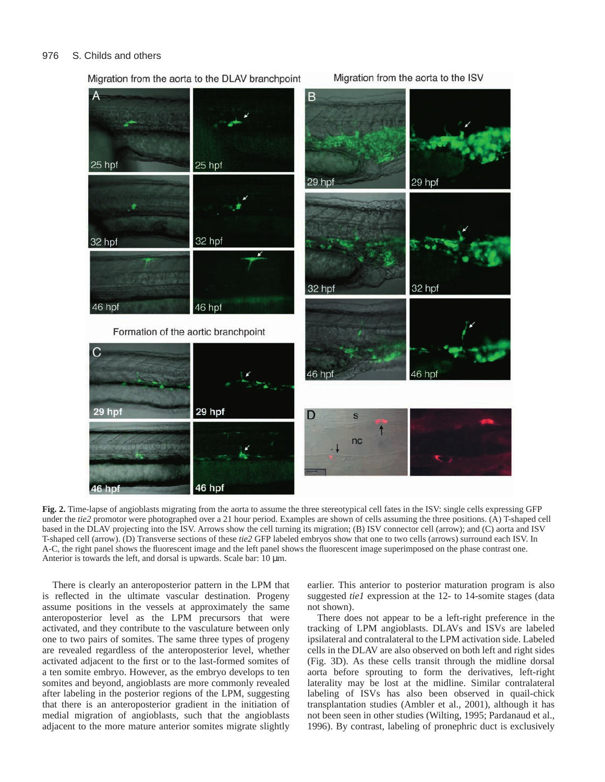#### 976 S. Childs and others



Migration from the aorta to the DLAV branchpoint

**Fig. 2.** Time-lapse of angioblasts migrating from the aorta to assume the three stereotypical cell fates in the ISV: single cells expressing GFP under the *tie2* promotor were photographed over a 21 hour period. Examples are shown of cells assuming the three positions. (A) T-shaped cell based in the DLAV projecting into the ISV. Arrows show the cell turning its migration; (B) ISV connector cell (arrow); and (C) aorta and ISV T-shaped cell (arrow). (D) Transverse sections of these *tie2* GFP labeled embryos show that one to two cells (arrows) surround each ISV. In A-C, the right panel shows the fluorescent image and the left panel shows the fluorescent image superimposed on the phase contrast one. Anterior is towards the left, and dorsal is upwards. Scale bar: 10  $\mu$ m.

There is clearly an anteroposterior pattern in the LPM that is reflected in the ultimate vascular destination. Progeny assume positions in the vessels at approximately the same anteroposterior level as the LPM precursors that were activated, and they contribute to the vasculature between only one to two pairs of somites. The same three types of progeny are revealed regardless of the anteroposterior level, whether activated adjacent to the first or to the last-formed somites of a ten somite embryo. However, as the embryo develops to ten somites and beyond, angioblasts are more commonly revealed after labeling in the posterior regions of the LPM, suggesting that there is an anteroposterior gradient in the initiation of medial migration of angioblasts, such that the angioblasts adjacent to the more mature anterior somites migrate slightly

earlier. This anterior to posterior maturation program is also suggested *tie1* expression at the 12- to 14-somite stages (data not shown).

There does not appear to be a left-right preference in the tracking of LPM angioblasts. DLAVs and ISVs are labeled ipsilateral and contralateral to the LPM activation side. Labeled cells in the DLAV are also observed on both left and right sides (Fig. 3D). As these cells transit through the midline dorsal aorta before sprouting to form the derivatives, left-right laterality may be lost at the midline. Similar contralateral labeling of ISVs has also been observed in quail-chick transplantation studies (Ambler et al., 2001), although it has not been seen in other studies (Wilting, 1995; Pardanaud et al., 1996). By contrast, labeling of pronephric duct is exclusively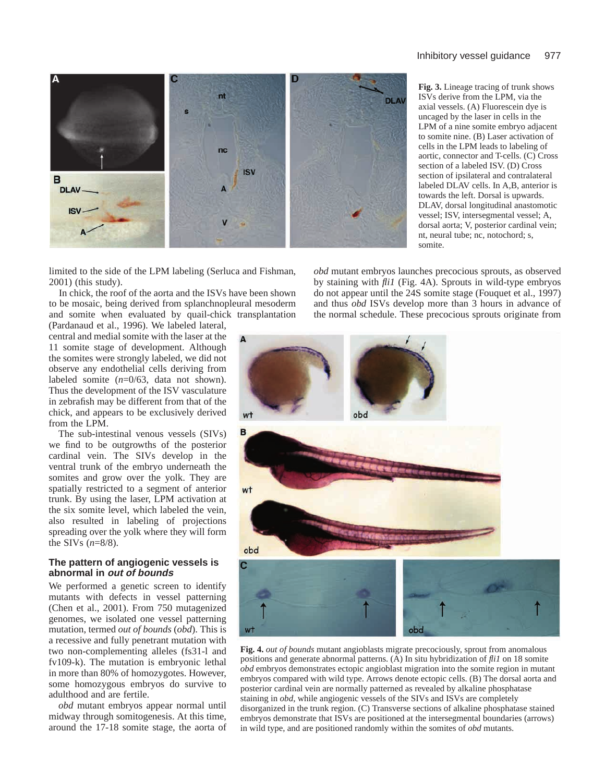

**Fig. 3.** Lineage tracing of trunk shows ISVs derive from the LPM, via the axial vessels. (A) Fluorescein dye is uncaged by the laser in cells in the LPM of a nine somite embryo adjacent to somite nine. (B) Laser activation of cells in the LPM leads to labeling of aortic, connector and T-cells. (C) Cross section of a labeled ISV. (D) Cross section of ipsilateral and contralateral labeled DLAV cells. In A,B, anterior is towards the left. Dorsal is upwards. DLAV, dorsal longitudinal anastomotic vessel; ISV, intersegmental vessel; A, dorsal aorta; V, posterior cardinal vein; nt, neural tube; nc, notochord; s, somite.

limited to the side of the LPM labeling (Serluca and Fishman, 2001) (this study).

In chick, the roof of the aorta and the ISVs have been shown to be mosaic, being derived from splanchnopleural mesoderm and somite when evaluated by quail-chick transplantation *obd* mutant embryos launches precocious sprouts, as observed by staining with *fli1* (Fig. 4A). Sprouts in wild-type embryos do not appear until the 24S somite stage (Fouquet et al., 1997) and thus *obd* ISVs develop more than 3 hours in advance of the normal schedule. These precocious sprouts originate from

(Pardanaud et al., 1996). We labeled lateral, central and medial somite with the laser at the 11 somite stage of development. Although the somites were strongly labeled, we did not observe any endothelial cells deriving from labeled somite (*n*=0/63, data not shown). Thus the development of the ISV vasculature in zebrafish may be different from that of the chick, and appears to be exclusively derived from the LPM.

The sub-intestinal venous vessels (SIVs) we find to be outgrowths of the posterior cardinal vein. The SIVs develop in the ventral trunk of the embryo underneath the somites and grow over the yolk. They are spatially restricted to a segment of anterior trunk. By using the laser, LPM activation at the six somite level, which labeled the vein, also resulted in labeling of projections spreading over the yolk where they will form the SIVs (*n*=8/8).

# **The pattern of angiogenic vessels is abnormal in out of bounds**

We performed a genetic screen to identify mutants with defects in vessel patterning (Chen et al., 2001). From 750 mutagenized genomes, we isolated one vessel patterning mutation, termed *out of bounds* (*obd*). This is a recessive and fully penetrant mutation with two non-complementing alleles (fs31-l and fv109-k). The mutation is embryonic lethal in more than 80% of homozygotes. However, some homozygous embryos do survive to adulthood and are fertile.

*obd* mutant embryos appear normal until midway through somitogenesis. At this time, around the 17-18 somite stage, the aorta of



**Fig. 4.** *out of bounds* mutant angioblasts migrate precociously, sprout from anomalous positions and generate abnormal patterns. (A) In situ hybridization of *fli1* on 18 somite *obd* embryos demonstrates ectopic angioblast migration into the somite region in mutant embryos compared with wild type. Arrows denote ectopic cells. (B) The dorsal aorta and posterior cardinal vein are normally patterned as revealed by alkaline phosphatase staining in *obd*, while angiogenic vessels of the SIVs and ISVs are completely disorganized in the trunk region. (C) Transverse sections of alkaline phosphatase stained embryos demonstrate that ISVs are positioned at the intersegmental boundaries (arrows) in wild type, and are positioned randomly within the somites of *obd* mutants.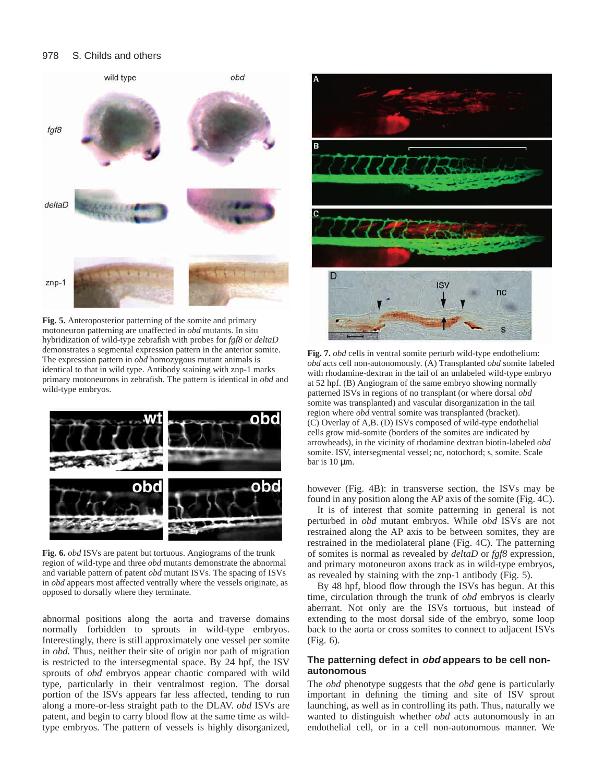#### 978 S. Childs and others



**Fig. 5.** Anteroposterior patterning of the somite and primary motoneuron patterning are unaffected in *obd* mutants. In situ hybridization of wild-type zebrafish with probes for *fgf8* or *deltaD* demonstrates a segmental expression pattern in the anterior somite. The expression pattern in *obd* homozygous mutant animals is identical to that in wild type. Antibody staining with znp-1 marks primary motoneurons in zebrafish. The pattern is identical in *obd* and wild-type embryos.



**Fig. 6.** *obd* ISVs are patent but tortuous. Angiograms of the trunk region of wild-type and three *obd* mutants demonstrate the abnormal and variable pattern of patent *obd* mutant ISVs. The spacing of ISVs in *obd* appears most affected ventrally where the vessels originate, as opposed to dorsally where they terminate.

abnormal positions along the aorta and traverse domains normally forbidden to sprouts in wild-type embryos. Interestingly, there is still approximately one vessel per somite in *obd.* Thus, neither their site of origin nor path of migration is restricted to the intersegmental space. By 24 hpf, the ISV sprouts of *obd* embryos appear chaotic compared with wild type, particularly in their ventralmost region. The dorsal portion of the ISVs appears far less affected, tending to run along a more-or-less straight path to the DLAV. *obd* ISVs are patent, and begin to carry blood flow at the same time as wildtype embryos. The pattern of vessels is highly disorganized,



**Fig. 7.** *obd* cells in ventral somite perturb wild-type endothelium: *obd* acts cell non-autonomously. (A) Transplanted *obd* somite labeled with rhodamine-dextran in the tail of an unlabeled wild-type embryo at 52 hpf. (B) Angiogram of the same embryo showing normally patterned ISVs in regions of no transplant (or where dorsal *obd* somite was transplanted) and vascular disorganization in the tail region where *obd* ventral somite was transplanted (bracket). (C) Overlay of A,B. (D) ISVs composed of wild-type endothelial cells grow mid-somite (borders of the somites are indicated by arrowheads), in the vicinity of rhodamine dextran biotin-labeled *obd* somite. ISV, intersegmental vessel; nc, notochord; s, somite. Scale bar is  $10 \mu m$ .

however (Fig. 4B): in transverse section, the ISVs may be found in any position along the AP axis of the somite (Fig. 4C).

It is of interest that somite patterning in general is not perturbed in *obd* mutant embryos. While *obd* ISVs are not restrained along the AP axis to be between somites, they are restrained in the mediolateral plane (Fig. 4C). The patterning of somites is normal as revealed by *deltaD* or *fgf8* expression, and primary motoneuron axons track as in wild-type embryos, as revealed by staining with the znp-1 antibody (Fig. 5).

By 48 hpf, blood flow through the ISVs has begun. At this time, circulation through the trunk of *obd* embryos is clearly aberrant. Not only are the ISVs tortuous, but instead of extending to the most dorsal side of the embryo, some loop back to the aorta or cross somites to connect to adjacent ISVs (Fig. 6).

# **The patterning defect in obd appears to be cell nonautonomous**

The *obd* phenotype suggests that the *obd* gene is particularly important in defining the timing and site of ISV sprout launching, as well as in controlling its path. Thus, naturally we wanted to distinguish whether *obd* acts autonomously in an endothelial cell, or in a cell non-autonomous manner. We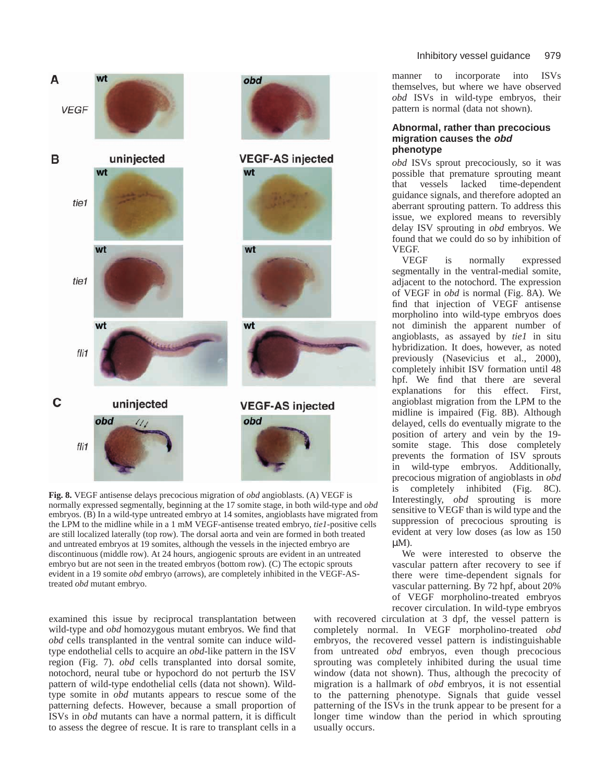

**Fig. 8.** VEGF antisense delays precocious migration of *obd* angioblasts. (A) VEGF is normally expressed segmentally, beginning at the 17 somite stage, in both wild-type and *obd* embryos. (B) In a wild-type untreated embryo at 14 somites, angioblasts have migrated from the LPM to the midline while in a 1 mM VEGF-antisense treated embryo, *tie1*-positive cells are still localized laterally (top row). The dorsal aorta and vein are formed in both treated and untreated embryos at 19 somites, although the vessels in the injected embryo are discontinuous (middle row). At 24 hours, angiogenic sprouts are evident in an untreated embryo but are not seen in the treated embryos (bottom row). (C) The ectopic sprouts evident in a 19 somite *obd* embryo (arrows), are completely inhibited in the VEGF-AStreated *obd* mutant embryo.

examined this issue by reciprocal transplantation between wild-type and *obd* homozygous mutant embryos. We find that *obd* cells transplanted in the ventral somite can induce wildtype endothelial cells to acquire an *obd-*like pattern in the ISV region (Fig. 7). *obd* cells transplanted into dorsal somite, notochord, neural tube or hypochord do not perturb the ISV pattern of wild-type endothelial cells (data not shown). Wildtype somite in *obd* mutants appears to rescue some of the patterning defects. However, because a small proportion of ISVs in *obd* mutants can have a normal pattern, it is difficult to assess the degree of rescue. It is rare to transplant cells in a

manner to incorporate into ISVs themselves, but where we have observed *obd* ISVs in wild-type embryos, their pattern is normal (data not shown).

# **Abnormal, rather than precocious migration causes the obd phenotype**

*obd* ISVs sprout precociously, so it was possible that premature sprouting meant that vessels lacked time-dependent guidance signals, and therefore adopted an aberrant sprouting pattern. To address this issue, we explored means to reversibly delay ISV sprouting in *obd* embryos. We found that we could do so by inhibition of VEGF.

is normally expressed segmentally in the ventral-medial somite, adjacent to the notochord. The expression of VEGF in *obd* is normal (Fig. 8A). We find that injection of VEGF antisense morpholino into wild-type embryos does not diminish the apparent number of angioblasts, as assayed by *tie1* in situ hybridization. It does, however, as noted previously (Nasevicius et al., 2000), completely inhibit ISV formation until 48 hpf. We find that there are several explanations for this effect. First, angioblast migration from the LPM to the midline is impaired (Fig. 8B). Although delayed, cells do eventually migrate to the position of artery and vein by the 19 somite stage. This dose completely prevents the formation of ISV sprouts in wild-type embryos. Additionally, precocious migration of angioblasts in *obd* is completely inhibited (Fig. 8C). Interestingly, *obd* sprouting is more sensitive to VEGF than is wild type and the suppression of precocious sprouting is evident at very low doses (as low as 150 µM).

We were interested to observe the vascular pattern after recovery to see if there were time-dependent signals for vascular patterning. By 72 hpf, about 20% of VEGF morpholino-treated embryos recover circulation. In wild-type embryos

with recovered circulation at 3 dpf, the vessel pattern is completely normal. In VEGF morpholino-treated *obd* embryos, the recovered vessel pattern is indistinguishable from untreated *obd* embryos, even though precocious sprouting was completely inhibited during the usual time window (data not shown). Thus, although the precocity of migration is a hallmark of *obd* embryos, it is not essential to the patterning phenotype. Signals that guide vessel patterning of the ISVs in the trunk appear to be present for a longer time window than the period in which sprouting usually occurs.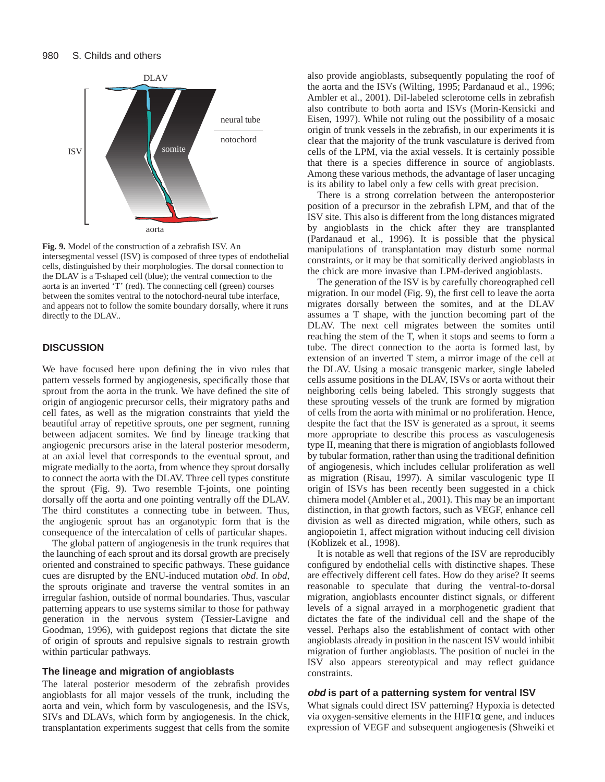

**Fig. 9.** Model of the construction of a zebrafish ISV. An intersegmental vessel (ISV) is composed of three types of endothelial cells, distinguished by their morphologies. The dorsal connection to the DLAV is a T-shaped cell (blue); the ventral connection to the aorta is an inverted 'T' (red). The connecting cell (green) courses between the somites ventral to the notochord-neural tube interface, and appears not to follow the somite boundary dorsally, where it runs directly to the DLAV..

# **DISCUSSION**

We have focused here upon defining the in vivo rules that pattern vessels formed by angiogenesis, specifically those that sprout from the aorta in the trunk. We have defined the site of origin of angiogenic precursor cells, their migratory paths and cell fates, as well as the migration constraints that yield the beautiful array of repetitive sprouts, one per segment, running between adjacent somites. We find by lineage tracking that angiogenic precursors arise in the lateral posterior mesoderm, at an axial level that corresponds to the eventual sprout, and migrate medially to the aorta, from whence they sprout dorsally to connect the aorta with the DLAV. Three cell types constitute the sprout (Fig. 9). Two resemble T-joints, one pointing dorsally off the aorta and one pointing ventrally off the DLAV. The third constitutes a connecting tube in between. Thus, the angiogenic sprout has an organotypic form that is the consequence of the intercalation of cells of particular shapes.

The global pattern of angiogenesis in the trunk requires that the launching of each sprout and its dorsal growth are precisely oriented and constrained to specific pathways. These guidance cues are disrupted by the ENU-induced mutation *obd*. In *obd*, the sprouts originate and traverse the ventral somites in an irregular fashion, outside of normal boundaries. Thus, vascular patterning appears to use systems similar to those for pathway generation in the nervous system (Tessier-Lavigne and Goodman, 1996), with guidepost regions that dictate the site of origin of sprouts and repulsive signals to restrain growth within particular pathways.

## **The lineage and migration of angioblasts**

The lateral posterior mesoderm of the zebrafish provides angioblasts for all major vessels of the trunk, including the aorta and vein, which form by vasculogenesis, and the ISVs, SIVs and DLAVs, which form by angiogenesis. In the chick, transplantation experiments suggest that cells from the somite

also provide angioblasts, subsequently populating the roof of the aorta and the ISVs (Wilting, 1995; Pardanaud et al., 1996; Ambler et al., 2001). DiI-labeled sclerotome cells in zebrafish also contribute to both aorta and ISVs (Morin-Kensicki and Eisen, 1997). While not ruling out the possibility of a mosaic origin of trunk vessels in the zebrafish, in our experiments it is clear that the majority of the trunk vasculature is derived from cells of the LPM, via the axial vessels. It is certainly possible that there is a species difference in source of angioblasts. Among these various methods, the advantage of laser uncaging is its ability to label only a few cells with great precision.

There is a strong correlation between the anteroposterior position of a precursor in the zebrafish LPM, and that of the ISV site. This also is different from the long distances migrated by angioblasts in the chick after they are transplanted (Pardanaud et al., 1996). It is possible that the physical manipulations of transplantation may disturb some normal constraints, or it may be that somitically derived angioblasts in the chick are more invasive than LPM-derived angioblasts.

The generation of the ISV is by carefully choreographed cell migration. In our model (Fig. 9), the first cell to leave the aorta migrates dorsally between the somites, and at the DLAV assumes a T shape, with the junction becoming part of the DLAV. The next cell migrates between the somites until reaching the stem of the T, when it stops and seems to form a tube. The direct connection to the aorta is formed last, by extension of an inverted T stem, a mirror image of the cell at the DLAV. Using a mosaic transgenic marker, single labeled cells assume positions in the DLAV, ISVs or aorta without their neighboring cells being labeled. This strongly suggests that these sprouting vessels of the trunk are formed by migration of cells from the aorta with minimal or no proliferation. Hence, despite the fact that the ISV is generated as a sprout, it seems more appropriate to describe this process as vasculogenesis type II, meaning that there is migration of angioblasts followed by tubular formation, rather than using the traditional definition of angiogenesis, which includes cellular proliferation as well as migration (Risau, 1997). A similar vasculogenic type II origin of ISVs has been recently been suggested in a chick chimera model (Ambler et al., 2001). This may be an important distinction, in that growth factors, such as VEGF, enhance cell division as well as directed migration, while others, such as angiopoietin 1, affect migration without inducing cell division (Koblizek et al., 1998).

It is notable as well that regions of the ISV are reproducibly configured by endothelial cells with distinctive shapes. These are effectively different cell fates. How do they arise? It seems reasonable to speculate that during the ventral-to-dorsal migration, angioblasts encounter distinct signals, or different levels of a signal arrayed in a morphogenetic gradient that dictates the fate of the individual cell and the shape of the vessel. Perhaps also the establishment of contact with other angioblasts already in position in the nascent ISV would inhibit migration of further angioblasts. The position of nuclei in the ISV also appears stereotypical and may reflect guidance constraints.

#### **obd is part of a patterning system for ventral ISV**

What signals could direct ISV patterning? Hypoxia is detected via oxygen-sensitive elements in the  $HIF1\alpha$  gene, and induces expression of VEGF and subsequent angiogenesis (Shweiki et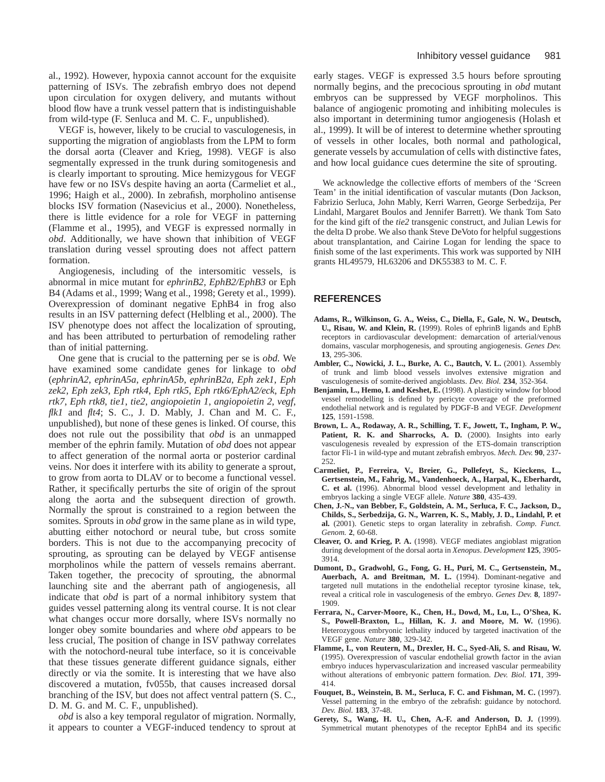al., 1992). However, hypoxia cannot account for the exquisite patterning of ISVs. The zebrafish embryo does not depend upon circulation for oxygen delivery, and mutants without blood flow have a trunk vessel pattern that is indistinguishable from wild-type (F. Senluca and M. C. F., unpublished).

VEGF is, however, likely to be crucial to vasculogenesis, in supporting the migration of angioblasts from the LPM to form the dorsal aorta (Cleaver and Krieg, 1998). VEGF is also segmentally expressed in the trunk during somitogenesis and is clearly important to sprouting. Mice hemizygous for VEGF have few or no ISVs despite having an aorta (Carmeliet et al., 1996; Haigh et al., 2000). In zebrafish, morpholino antisense blocks ISV formation (Nasevicius et al., 2000). Nonetheless, there is little evidence for a role for VEGF in patterning (Flamme et al., 1995), and VEGF is expressed normally in *obd*. Additionally, we have shown that inhibition of VEGF translation during vessel sprouting does not affect pattern formation.

Angiogenesis, including of the intersomitic vessels, is abnormal in mice mutant for *ephrinB2, EphB2/EphB3* or Eph B4 (Adams et al., 1999; Wang et al., 1998; Gerety et al., 1999). Overexpression of dominant negative EphB4 in frog also results in an ISV patterning defect (Helbling et al., 2000). The ISV phenotype does not affect the localization of sprouting, and has been attributed to perturbation of remodeling rather than of initial patterning.

One gene that is crucial to the patterning per se is *obd.* We have examined some candidate genes for linkage to *obd* (*ephrinA2*, *ephrinA5a*, *ephrinA5b*, *ephrinB2a*, *Eph zek1*, *Eph zek2*, *Eph zek3*, *Eph rtk4*, *Eph rtk5*, *Eph rtk6/EphA2/eck*, *Eph rtk7*, *Eph rtk8*, *tie1*, *tie2*, *angiopoietin 1*, *angiopoietin 2*, *vegf*, *flk1* and *flt4*; S. C., J. D. Mably, J. Chan and M. C. F., unpublished), but none of these genes is linked. Of course, this does not rule out the possibility that *obd* is an unmapped member of the ephrin family. Mutation of *obd* does not appear to affect generation of the normal aorta or posterior cardinal veins. Nor does it interfere with its ability to generate a sprout, to grow from aorta to DLAV or to become a functional vessel. Rather, it specifically perturbs the site of origin of the sprout along the aorta and the subsequent direction of growth. Normally the sprout is constrained to a region between the somites. Sprouts in *obd* grow in the same plane as in wild type, abutting either notochord or neural tube, but cross somite borders. This is not due to the accompanying precocity of sprouting, as sprouting can be delayed by VEGF antisense morpholinos while the pattern of vessels remains aberrant. Taken together, the precocity of sprouting, the abnormal launching site and the aberrant path of angiogenesis, all indicate that *obd* is part of a normal inhibitory system that guides vessel patterning along its ventral course. It is not clear what changes occur more dorsally, where ISVs normally no longer obey somite boundaries and where *obd* appears to be less crucial, The position of change in ISV pathway correlates with the notochord-neural tube interface, so it is conceivable that these tissues generate different guidance signals, either directly or via the somite. It is interesting that we have also discovered a mutation, fv055b, that causes increased dorsal branching of the ISV, but does not affect ventral pattern (S. C., D. M. G. and M. C. F., unpublished).

*obd* is also a key temporal regulator of migration. Normally, it appears to counter a VEGF-induced tendency to sprout at early stages. VEGF is expressed 3.5 hours before sprouting normally begins, and the precocious sprouting in *obd* mutant embryos can be suppressed by VEGF morpholinos. This balance of angiogenic promoting and inhibiting molecules is also important in determining tumor angiogenesis (Holash et al., 1999). It will be of interest to determine whether sprouting of vessels in other locales, both normal and pathological, generate vessels by accumulation of cells with distinctive fates, and how local guidance cues determine the site of sprouting.

We acknowledge the collective efforts of members of the 'Screen Team' in the initial identification of vascular mutants (Don Jackson, Fabrizio Serluca, John Mably, Kerri Warren, George Serbedzija, Per Lindahl, Margaret Boulos and Jennifer Barrett). We thank Tom Sato for the kind gift of the *tie2* transgenic construct, and Julian Lewis for the delta D probe. We also thank Steve DeVoto for helpful suggestions about transplantation, and Cairine Logan for lending the space to finish some of the last experiments. This work was supported by NIH grants HL49579, HL63206 and DK55383 to M. C. F.

# **REFERENCES**

- **Adams, R., Wilkinson, G. A., Weiss, C., Diella, F., Gale, N. W., Deutsch, U., Risau, W. and Klein, R.** (1999). Roles of ephrinB ligands and EphB receptors in cardiovascular development: demarcation of arterial/venous domains, vascular morphogenesis, and sprouting angiogenesis. *Genes Dev.* **13**, 295-306.
- **Ambler, C., Nowicki, J. L., Burke, A. C., Bautch, V. L.** (2001). Assembly of trunk and limb blood vessels involves extensive migration and vasculogenesis of somite-derived angioblasts. *Dev. Biol.* **234**, 352-364.
- **Benjamin, L., Hemo, I. and Keshet, E.** (1998). A plasticity window for blood vessel remodelling is defined by pericyte coverage of the preformed endothelial network and is regulated by PDGF-B and VEGF. *Development* **125**, 1591-1598.
- **Brown, L. A., Rodaway, A. R., Schilling, T. F., Jowett, T., Ingham, P. W.,** Patient, R. K. and Sharrocks, A. D. (2000). Insights into early vasculogenesis revealed by expression of the ETS-domain transcription factor Fli-1 in wild-type and mutant zebrafish embryos. *Mech. Dev.* **90**, 237- 252.
- **Carmeliet, P., Ferreira, V., Breier, G., Pollefeyt, S., Kieckens, L., Gertsenstein, M., Fahrig, M., Vandenhoeck, A., Harpal, K., Eberhardt, C. et al.** (1996). Abnormal blood vessel development and lethality in embryos lacking a single VEGF allele. *Nature* **380**, 435-439.
- **Chen, J.-N., van Bebber, F., Goldstein, A. M., Serluca, F. C., Jackson, D., Childs, S., Serbedzija, G. N., Warren, K. S., Mably, J. D., Lindahl, P. et al.** (2001). Genetic steps to organ laterality in zebrafish. *Comp. Funct. Genom.* **2**, 60-68.
- **Cleaver, O. and Krieg, P. A.** (1998). VEGF mediates angioblast migration during development of the dorsal aorta in *Xenopus*. *Development* **125**, 3905- 3914.
- **Dumont, D., Gradwohl, G., Fong, G. H., Puri, M. C., Gertsenstein, M., Auerbach, A. and Breitman, M. L.** (1994). Dominant-negative and targeted null mutations in the endothelial receptor tyrosine kinase, tek, reveal a critical role in vasculogenesis of the embryo. *Genes Dev.* **8**, 1897- 1909.
- **Ferrara, N., Carver-Moore, K., Chen, H., Dowd, M., Lu, L., O'Shea, K. S., Powell-Braxton, L., Hillan, K. J. and Moore, M. W.** (1996). Heterozygous embryonic lethality induced by targeted inactivation of the VEGF gene. *Nature* **380**, 329-342.
- **Flamme, I., von Reutern, M., Drexler, H. C., Syed-Ali, S. and Risau, W.** (1995). Overexpression of vascular endothelial growth factor in the avian embryo induces hypervascularization and increased vascular permeability without alterations of embryonic pattern formation. *Dev. Biol.* **171**, 399- 414.
- **Fouquet, B., Weinstein, B. M., Serluca, F. C. and Fishman, M. C.** (1997). Vessel patterning in the embryo of the zebrafish: guidance by notochord. *Dev. Biol.* **183**, 37-48.
- **Gerety, S., Wang, H. U., Chen, A.-F. and Anderson, D. J.** (1999). Symmetrical mutant phenotypes of the receptor EphB4 and its specific